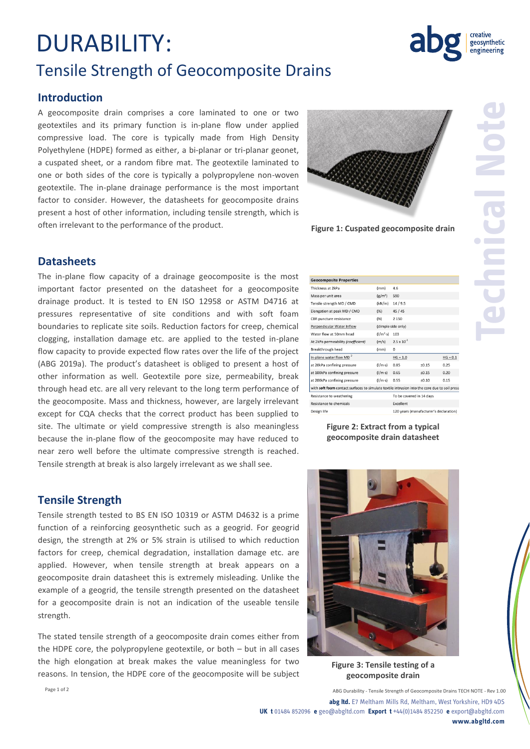## DURABILITY: Tensile Strength of Geocomposite Drains

### **Introduction**

A geocomposite drain comprises a core laminated to one or two geotextiles and its primary function is in-plane flow under applied compressive load. The core is typically made from High Density Polyethylene (HDPE) formed as either, a bi-planar or tri-planar geonet, a cuspated sheet, or a random fibre mat. The geotextile laminated to one or both sides of the core is typically a polypropylene non-woven geotextile. The in-plane drainage performance is the most important factor to consider. However, the datasheets for geocomposite drains present a host of other information, including tensile strength, which is often irrelevant to the performance of the product.



**Figure 1: Cuspated geocomposite drain**

 $\overline{4.6}$  $(mm)$  $(g/m<sup>2</sup>)$  590

 $(kN/m)$  14 / 9.5

 $(96)$  45/45

(dimple side only)

 $(m/s)$  2.5 x 10<sup>-3</sup>

 $HG = 1.0$ 

Excellent

 $0.85$ 

 $HG = 0.1$ 

 $0.25$ 

 $0.20$ 

 $0.15$ 

 $±0.15$ 

 $±0.15$ 

 $±0.10$ 

120 years (manufacturer's declaration)

To be covered in 14 days

 $(1/m<sup>2</sup> - s)$  103

 $(N)$ 2 1 5 0

 $(mm)$  $\Omega$ 

 $(1/m·s)$ 

 $(1/m \cdot s)$  0.65

 $(1/m \cdot s)$  0.55

with soft foam contact surfaces to simulate textile intrusion into the core due to soil press

**Geocomposite Properties** Thickness at 2kPa

Elongation at peak MD / CMD

CBR puncture resistance

Perpendicular Water Inflow

Water flow at 50mm head

Breakthrough head

In-plane water flow MD

at 20kPa confining pressure

at 100kPa confining pressure

at 200kPa confining pressure

Resistance to weathering

Resistance to chemicals

Design life

At 2kPa permeability (coefficient)

Mass per unit area Tensile strength MD / CMD **Technical Note**

#### **Datasheets**

The in-plane flow capacity of a drainage geocomposite is the most important factor presented on the datasheet for a geocomposite drainage product. It is tested to EN ISO 12958 or ASTM D4716 at pressures representative of site conditions and with soft foam boundaries to replicate site soils. Reduction factors for creep, chemical clogging, installation damage etc. are applied to the tested in-plane flow capacity to provide expected flow rates over the life of the project (ABG 2019a). The product's datasheet is obliged to present a host of other information as well. Geotextile pore size, permeability, break through head etc. are all very relevant to the long term performance of the geocomposite. Mass and thickness, however, are largely irrelevant except for CQA checks that the correct product has been supplied to site. The ultimate or yield compressive strength is also meaningless because the in-plane flow of the geocomposite may have reduced to near zero well before the ultimate compressive strength is reached. Tensile strength at break is also largely irrelevant as we shall see.

### **Tensile Strength**

Tensile strength tested to BS EN ISO 10319 or ASTM D4632 is a prime function of a reinforcing geosynthetic such as a geogrid. For geogrid design, the strength at 2% or 5% strain is utilised to which reduction factors for creep, chemical degradation, installation damage etc. are applied. However, when tensile strength at break appears on a geocomposite drain datasheet this is extremely misleading. Unlike the example of a geogrid, the tensile strength presented on the datasheet for a geocomposite drain is not an indication of the useable tensile strength.

The stated tensile strength of a geocomposite drain comes either from the HDPE core, the polypropylene geotextile, or both – but in all cases the high elongation at break makes the value meaningless for two reasons. In tension, the HDPE core of the geocomposite will be subject



**Figure 2: Extract from a typical geocomposite drain datasheet**

**Figure 3: Tensile testing of a geocomposite drain**

Page 1 of 2 **ABG Durability - Tensile Strength of Geocomposite Drains TECH NOTE - Rev 1.00 abg ltd.** E7 Meltham Mills Rd, Meltham, West Yorkshire, HD9 4DS **UK t** 01484 852096 **e** geo@abgltd.com **Export t** +44(0)1484 852250 **e** export@abgltd.com

**www.abgltd.com**

geosynthetic engineering

creative